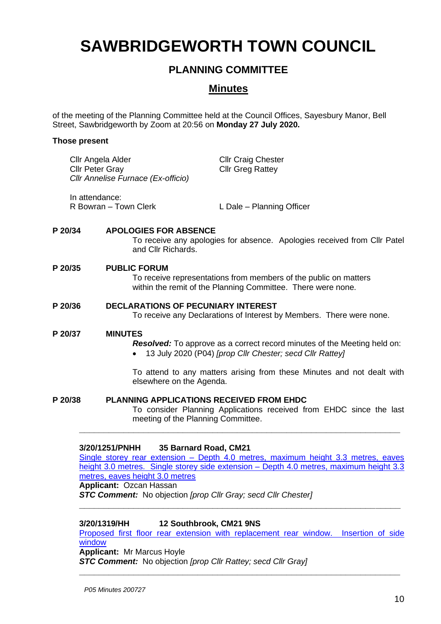# **SAWBRIDGEWORTH TOWN COUNCIL**

# **PLANNING COMMITTEE**

## **Minutes**

of the meeting of the Planning Committee held at the Council Offices, Sayesbury Manor, Bell Street, Sawbridgeworth by Zoom at 20:56 on **Monday 27 July 2020.**

#### **Those present**

|         | <b>Cllr Craig Chester</b><br>Cllr Angela Alder<br><b>Cllr Peter Gray</b><br><b>Cllr Greg Rattey</b><br>Cllr Annelise Furnace (Ex-officio)                     |  |
|---------|---------------------------------------------------------------------------------------------------------------------------------------------------------------|--|
|         | In attendance:<br>R Bowran - Town Clerk<br>L Dale - Planning Officer                                                                                          |  |
| P 20/34 | <b>APOLOGIES FOR ABSENCE</b><br>To receive any apologies for absence. Apologies received from Cllr Patel<br>and Cllr Richards.                                |  |
| P 20/35 | <b>PUBLIC FORUM</b><br>To receive representations from members of the public on matters<br>within the remit of the Planning Committee. There were none.       |  |
| P 20/36 | <b>DECLARATIONS OF PECUNIARY INTEREST</b><br>To receive any Declarations of Interest by Members. There were none.                                             |  |
| P 20/37 | <b>MINUTES</b><br><b>Resolved:</b> To approve as a correct record minutes of the Meeting held on:<br>13 July 2020 (P04) [prop Cllr Chester; secd Cllr Rattey] |  |
|         | To attend to any matters arising from these Minutes and not dealt with<br>elsewhere on the Agenda.                                                            |  |
| P 20/38 | <b>PLANNING APPLICATIONS RECEIVED FROM EHDC</b><br>To consider Planning Applications received from EHDC since the last<br>meeting of the Planning Committee.  |  |
|         | 3/20/1251/PNHH<br>35 Barnard Road, CM21<br>Single storey rear extension - Depth 4.0 metres, maximum height 3.3 metres, eaves                                  |  |

[height 3.0 metres. Single storey side extension –](https://publicaccess.eastherts.gov.uk/online-applications/applicationDetails.do?activeTab=documents&keyVal=QD38KVGL00X00) Depth 4.0 metres, maximum height 3.3 [metres, eaves height 3.0 metres](https://publicaccess.eastherts.gov.uk/online-applications/applicationDetails.do?activeTab=documents&keyVal=QD38KVGL00X00)

**\_\_\_\_\_\_\_\_\_\_\_\_\_\_\_\_\_\_\_\_\_\_\_\_\_\_\_\_\_\_\_\_\_\_\_\_\_\_\_\_\_\_\_\_\_\_\_\_\_\_\_\_\_\_\_\_\_\_\_\_\_\_\_\_\_**

**Applicant:** Ozcan Hassan

*STC Comment:* No objection *[prop Cllr Gray; secd Cllr Chester]*

#### **3/20/1319/HH 12 Southbrook, CM21 9NS**

Proposed first floor rear extension with replacement rear window. Insertion of side [window](https://publicaccess.eastherts.gov.uk/online-applications/applicationDetails.do?activeTab=documents&keyVal=QDGHO0GLHLF00)

**\_\_\_\_\_\_\_\_\_\_\_\_\_\_\_\_\_\_\_\_\_\_\_\_\_\_\_\_\_\_\_\_\_\_\_\_\_\_\_\_\_\_\_\_\_\_\_\_\_\_\_\_\_\_\_\_\_\_\_\_\_\_\_\_\_**

**Applicant:** Mr Marcus Hoyle

*STC Comment:* No objection *[prop Cllr Rattey; secd Cllr Gray]*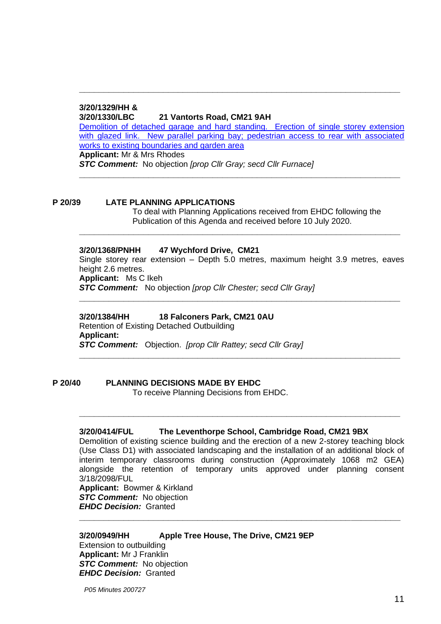### **3/20/1329/HH &**

**3/20/1330/LBC 21 Vantorts Road, CM21 9AH**

[Demolition of detached garage and hard standing. Erection of single storey extension](https://publicaccess.eastherts.gov.uk/online-applications/applicationDetails.do?activeTab=documents&keyVal=QDI0VZGLHLU00)  with glazed link. New parallel parking bay; pedestrian access to rear with associated [works to existing boundaries and garden area](https://publicaccess.eastherts.gov.uk/online-applications/applicationDetails.do?activeTab=documents&keyVal=QDI0VZGLHLU00) **Applicant:** Mr & Mrs Rhodes

**\_\_\_\_\_\_\_\_\_\_\_\_\_\_\_\_\_\_\_\_\_\_\_\_\_\_\_\_\_\_\_\_\_\_\_\_\_\_\_\_\_\_\_\_\_\_\_\_\_\_\_\_\_\_\_\_\_\_\_\_\_\_\_\_\_**

**\_\_\_\_\_\_\_\_\_\_\_\_\_\_\_\_\_\_\_\_\_\_\_\_\_\_\_\_\_\_\_\_\_\_\_\_\_\_\_\_\_\_\_\_\_\_\_\_\_\_\_\_\_\_\_\_\_\_\_\_\_\_\_\_\_**

*STC Comment:* No objection *[prop Cllr Gray; secd Cllr Furnace]*

#### **P 20/39 LATE PLANNING APPLICATIONS**

To deal with Planning Applications received from EHDC following the Publication of this Agenda and received before 10 July 2020.

#### **3/20/1368/PNHH 47 Wychford Drive, CM21**

Single storey rear extension – Depth 5.0 metres, maximum height 3.9 metres, eaves height 2.6 metres.

**\_\_\_\_\_\_\_\_\_\_\_\_\_\_\_\_\_\_\_\_\_\_\_\_\_\_\_\_\_\_\_\_\_\_\_\_\_\_\_\_\_\_\_\_\_\_\_\_\_\_\_\_\_\_\_\_\_\_\_\_\_\_\_\_\_**

**\_\_\_\_\_\_\_\_\_\_\_\_\_\_\_\_\_\_\_\_\_\_\_\_\_\_\_\_\_\_\_\_\_\_\_\_\_\_\_\_\_\_\_\_\_\_\_\_\_\_\_\_\_\_\_\_\_\_\_\_\_\_\_\_\_**

**Applicant:** Ms C Ikeh

*STC Comment:* No objection *[prop Cllr Chester; secd Cllr Gray]*

#### **3/20/1384/HH 18 Falconers Park, CM21 0AU**

Retention of Existing Detached Outbuilding **Applicant:**  *STC Comment:* Objection. *[prop Cllr Rattey; secd Cllr Gray]* **\_\_\_\_\_\_\_\_\_\_\_\_\_\_\_\_\_\_\_\_\_\_\_\_\_\_\_\_\_\_\_\_\_\_\_\_\_\_\_\_\_\_\_\_\_\_\_\_\_\_\_\_\_\_\_\_\_\_\_\_\_\_\_\_\_**

## **P 20/40 PLANNING DECISIONS MADE BY EHDC**

To receive Planning Decisions from EHDC.

#### **3/20/0414/FUL The Leventhorpe School, Cambridge Road, CM21 9BX**

Demolition of existing science building and the erection of a new 2-storey teaching block (Use Class D1) with associated landscaping and the installation of an additional block of interim temporary classrooms during construction (Approximately 1068 m2 GEA) alongside the retention of temporary units approved under planning consent 3/18/2098/FUL

**\_\_\_\_\_\_\_\_\_\_\_\_\_\_\_\_\_\_\_\_\_\_\_\_\_\_\_\_\_\_\_\_\_\_\_\_\_\_\_\_\_\_\_\_\_\_\_\_\_\_\_\_\_\_\_\_\_\_\_\_\_\_\_\_\_**

**Applicant:** Bowmer & Kirkland *STC Comment:* No objection *EHDC Decision:* Granted **\_\_\_\_\_\_\_\_\_\_\_\_\_\_\_\_\_\_\_\_\_\_\_\_\_\_\_\_\_\_\_\_\_\_\_\_\_\_\_\_\_\_\_\_\_\_\_\_\_\_\_\_\_\_\_\_\_\_\_\_\_\_\_\_\_**

**3/20/0949/HH Apple Tree House, The Drive, CM21 9EP** Extension to outbuilding **Applicant:** Mr J Franklin *STC Comment:* No objection *EHDC Decision:* Granted

*P05 Minutes 200727*